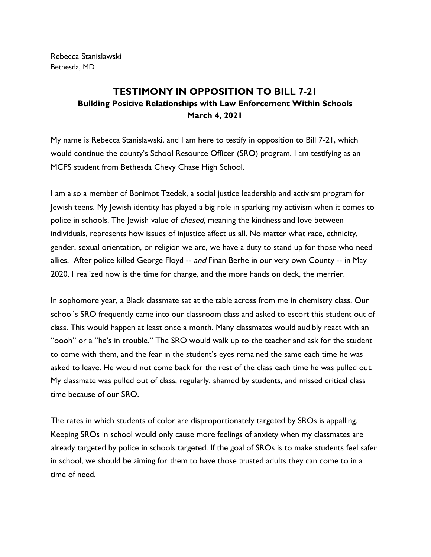Rebecca Stanislawski Bethesda, MD

## **TESTIMONY IN OPPOSITION TO BILL 7-21 Building Positive Relationships with Law Enforcement Within Schools March 4, 2021**

My name is Rebecca Stanislawski, and I am here to testify in opposition to Bill 7-21, which would continue the county's School Resource Officer (SRO) program. I am testifying as an MCPS student from Bethesda Chevy Chase High School.

I am also a member of Bonimot Tzedek, a social justice leadership and activism program for Jewish teens. My Jewish identity has played a big role in sparking my activism when it comes to police in schools. The Jewish value of *chesed*, meaning the kindness and love between individuals, represents how issues of injustice affect us all. No matter what race, ethnicity, gender, sexual orientation, or religion we are, we have a duty to stand up for those who need allies. After police killed George Floyd -- and Finan Berhe in our very own County -- in May 2020, I realized now is the time for change, and the more hands on deck, the merrier.

In sophomore year, a Black classmate sat at the table across from me in chemistry class. Our school's SRO frequently came into our classroom class and asked to escort this student out of class. This would happen at least once a month. Many classmates would audibly react with an "oooh" or a "he's in trouble." The SRO would walk up to the teacher and ask for the student to come with them, and the fear in the student's eyes remained the same each time he was asked to leave. He would not come back for the rest of the class each time he was pulled out. My classmate was pulled out of class, regularly, shamed by students, and missed critical class time because of our SRO.

The rates in which students of color are disproportionately targeted by SROs is appalling. Keeping SROs in school would only cause more feelings of anxiety when my classmates are already targeted by police in schools targeted. If the goal of SROs is to make students feel safer in school, we should be aiming for them to have those trusted adults they can come to in a time of need.